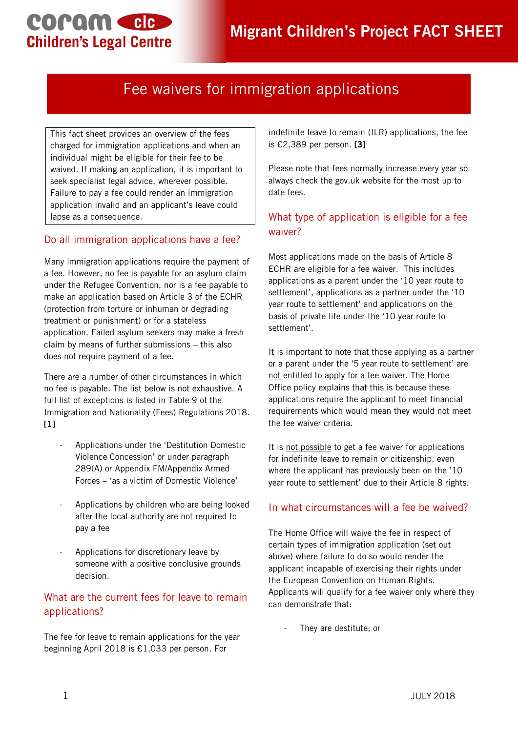## **COPOM CIE Children's Legal Centre**

## Fee waivers for immigration applications

This fact sheet provides an overview of the fees charged for immigration applications and when an individual might be eligible for their fee to be waived. If making an application, it is important to seek specialist legal advice, wherever possible. Failure to pay a fee could render an immigration application invalid and an applicant's leave could lapse as a consequence.

#### Do all immigration applications have a fee?

Many immigration applications require the payment of a fee. However, no fee is payable for an asylum claim under the Refugee Convention, nor is a fee payable to make an application based on Article 3 of the ECHR (protection from torture or inhuman or degrading treatment or punishment) or for a stateless application. Failed asylum seekers may make a fresh claim by means of further submissions – this also does not require payment of a fee.

There are a number of other circumstances in which no fee is payable. The list below is not exhaustive. A full list of exceptions is listed in Table 9 of the Immigration and Nationality (Fees) Regulations 2018. **[1]**

- Applications under the 'Destitution Domestic Violence Concession' or under paragraph 289(A) or Appendix FM/Appendix Armed Forces – 'as a victim of Domestic Violence'
- Applications by children who are being looked after the local authority are not required to pay a fee
- Applications for discretionary leave by someone with a positive conclusive grounds decision.

#### What are the current fees for leave to remain applications?

The fee for leave to remain applications for the year beginning April 2018 is £1,033 per person. For

indefinite leave to remain (ILR) applications, the fee is £2,389 per person. **[3]**

Please note that fees normally increase every year so always check the gov.uk website for the most up to date fees.

## What type of application is eligible for a fee waiver?

Most applications made on the basis of Article 8 ECHR are eligible for a fee waiver. This includes applications as a parent under the '10 year route to settlement', applications as a partner under the '10 year route to settlement' and applications on the basis of private life under the '10 year route to settlement'.

It is important to note that those applying as a partner or a parent under the '5 year route to settlement' are not entitled to apply for a fee waiver. The Home Office policy explains that this is because these applications require the applicant to meet financial requirements which would mean they would not meet the fee waiver criteria.

It is not possible to get a fee waiver for applications for indefinite leave to remain or citizenship, even where the applicant has previously been on the '10 year route to settlement' due to their Article 8 rights.

#### In what circumstances will a fee be waived?

The Home Office will waive the fee in respect of certain types of immigration application (set out above) where failure to do so would render the applicant incapable of exercising their rights under the European Convention on Human Rights. Applicants will qualify for a fee waiver only where they can demonstrate that:

They are destitute; or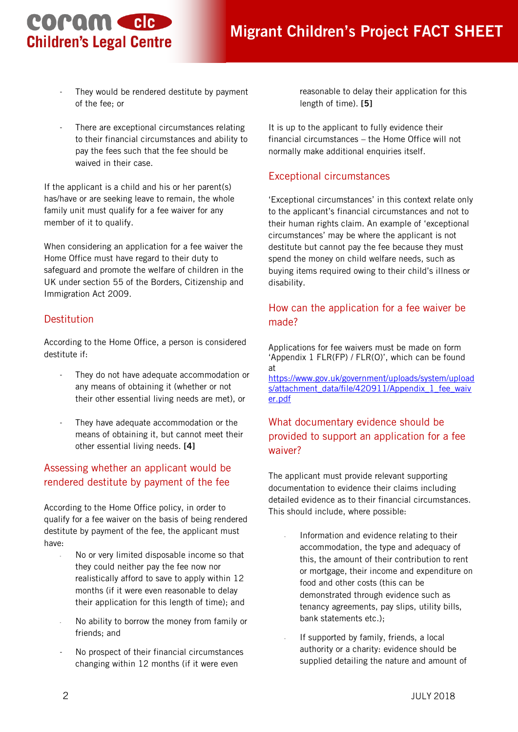# coram ele **Children's Legal Centre**

- They would be rendered destitute by payment of the fee; or
- There are exceptional circumstances relating to their financial circumstances and ability to pay the fees such that the fee should be waived in their case.

If the applicant is a child and his or her parent(s) has/have or are seeking leave to remain, the whole family unit must qualify for a fee waiver for any member of it to qualify.

When considering an application for a fee waiver the Home Office must have regard to their duty to safeguard and promote the welfare of children in the UK under section 55 of the Borders, Citizenship and Immigration Act 2009.

### Destitution

According to the Home Office, a person is considered destitute if:

- They do not have adequate accommodation or any means of obtaining it (whether or not their other essential living needs are met), or
- They have adequate accommodation or the means of obtaining it, but cannot meet their other essential living needs. **[4]**

#### Assessing whether an applicant would be rendered destitute by payment of the fee

According to the Home Office policy, in order to qualify for a fee waiver on the basis of being rendered destitute by payment of the fee, the applicant must have:

- No or very limited disposable income so that they could neither pay the fee now nor realistically afford to save to apply within 12 months (if it were even reasonable to delay their application for this length of time); and
- No ability to borrow the money from family or friends; and
- No prospect of their financial circumstances changing within 12 months (if it were even

reasonable to delay their application for this length of time). **[5]**

It is up to the applicant to fully evidence their financial circumstances – the Home Office will not normally make additional enquiries itself.

#### Exceptional circumstances

'Exceptional circumstances' in this context relate only to the applicant's financial circumstances and not to their human rights claim. An example of 'exceptional circumstances' may be where the applicant is not destitute but cannot pay the fee because they must spend the money on child welfare needs, such as buying items required owing to their child's illness or disability.

## How can the application for a fee waiver be made?

Applications for fee waivers must be made on form 'Appendix 1 FLR(FP) / FLR(O)', which can be found at

[https://www.gov.uk/government/uploads/system/upload](https://www.gov.uk/government/uploads/system/uploads/attachment_data/file/420911/Appendix_1_fee_waiver.pdf) [s/attachment\\_data/file/420911/Appendix\\_1\\_fee\\_waiv](https://www.gov.uk/government/uploads/system/uploads/attachment_data/file/420911/Appendix_1_fee_waiver.pdf) [er.pdf](https://www.gov.uk/government/uploads/system/uploads/attachment_data/file/420911/Appendix_1_fee_waiver.pdf)

## What documentary evidence should be provided to support an application for a fee waiver?

The applicant must provide relevant supporting documentation to evidence their claims including detailed evidence as to their financial circumstances. This should include, where possible:

- Information and evidence relating to their accommodation, the type and adequacy of this, the amount of their contribution to rent or mortgage, their income and expenditure on food and other costs (this can be demonstrated through evidence such as tenancy agreements, pay slips, utility bills, bank statements etc.);
- If supported by family, friends, a local authority or a charity: evidence should be supplied detailing the nature and amount of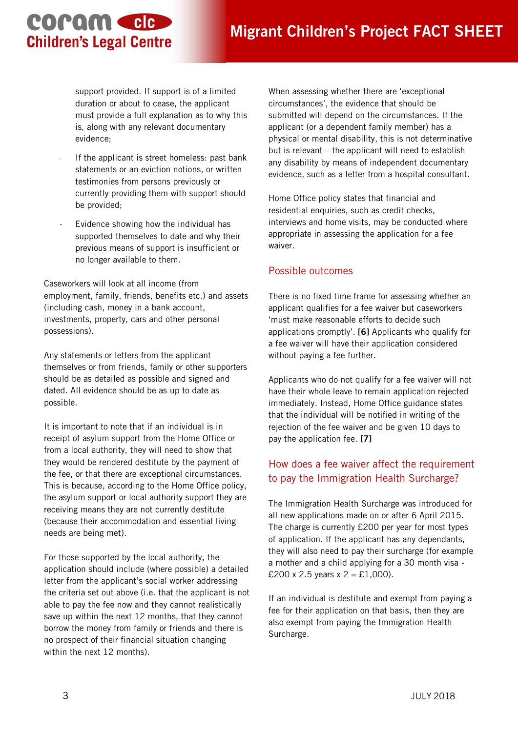## **Migrant Children's Project FACT SHEET**

support provided. If support is of a limited duration or about to cease, the applicant must provide a full explanation as to why this is, along with any relevant documentary evidence;

coram cle

**Children's Legal Centre** 

- If the applicant is street homeless: past bank statements or an eviction notions, or written testimonies from persons previously or currently providing them with support should be provided;
- Evidence showing how the individual has supported themselves to date and why their previous means of support is insufficient or no longer available to them.

Caseworkers will look at all income (from employment, family, friends, benefits etc.) and assets (including cash, money in a bank account, investments, property, cars and other personal possessions).

Any statements or letters from the applicant themselves or from friends, family or other supporters should be as detailed as possible and signed and dated. All evidence should be as up to date as possible.

It is important to note that if an individual is in receipt of asylum support from the Home Office or from a local authority, they will need to show that they would be rendered destitute by the payment of the fee, or that there are exceptional circumstances. This is because, according to the Home Office policy, the asylum support or local authority support they are receiving means they are not currently destitute (because their accommodation and essential living needs are being met).

For those supported by the local authority, the application should include (where possible) a detailed letter from the applicant's social worker addressing the criteria set out above (i.e. that the applicant is not able to pay the fee now and they cannot realistically save up within the next 12 months, that they cannot borrow the money from family or friends and there is no prospect of their financial situation changing within the next 12 months).

When assessing whether there are 'exceptional circumstances', the evidence that should be submitted will depend on the circumstances. If the applicant (or a dependent family member) has a physical or mental disability, this is not determinative but is relevant – the applicant will need to establish any disability by means of independent documentary evidence, such as a letter from a hospital consultant.

Home Office policy states that financial and residential enquiries, such as credit checks, interviews and home visits, may be conducted where appropriate in assessing the application for a fee waiver.

#### Possible outcomes

There is no fixed time frame for assessing whether an applicant qualifies for a fee waiver but caseworkers 'must make reasonable efforts to decide such applications promptly'. **[6]** Applicants who qualify for a fee waiver will have their application considered without paying a fee further.

Applicants who do not qualify for a fee waiver will not have their whole leave to remain application rejected immediately. Instead, Home Office guidance states that the individual will be notified in writing of the rejection of the fee waiver and be given 10 days to pay the application fee. **[7]**

#### How does a fee waiver affect the requirement to pay the Immigration Health Surcharge?

The Immigration Health Surcharge was introduced for all new applications made on or after 6 April 2015. The charge is currently £200 per year for most types of application. If the applicant has any dependants, they will also need to pay their surcharge (for example a mother and a child applying for a 30 month visa - £200 x 2.5 years x  $2 = \text{\pounds}1,000$ .

If an individual is destitute and exempt from paying a fee for their application on that basis, then they are also exempt from paying the Immigration Health Surcharge.